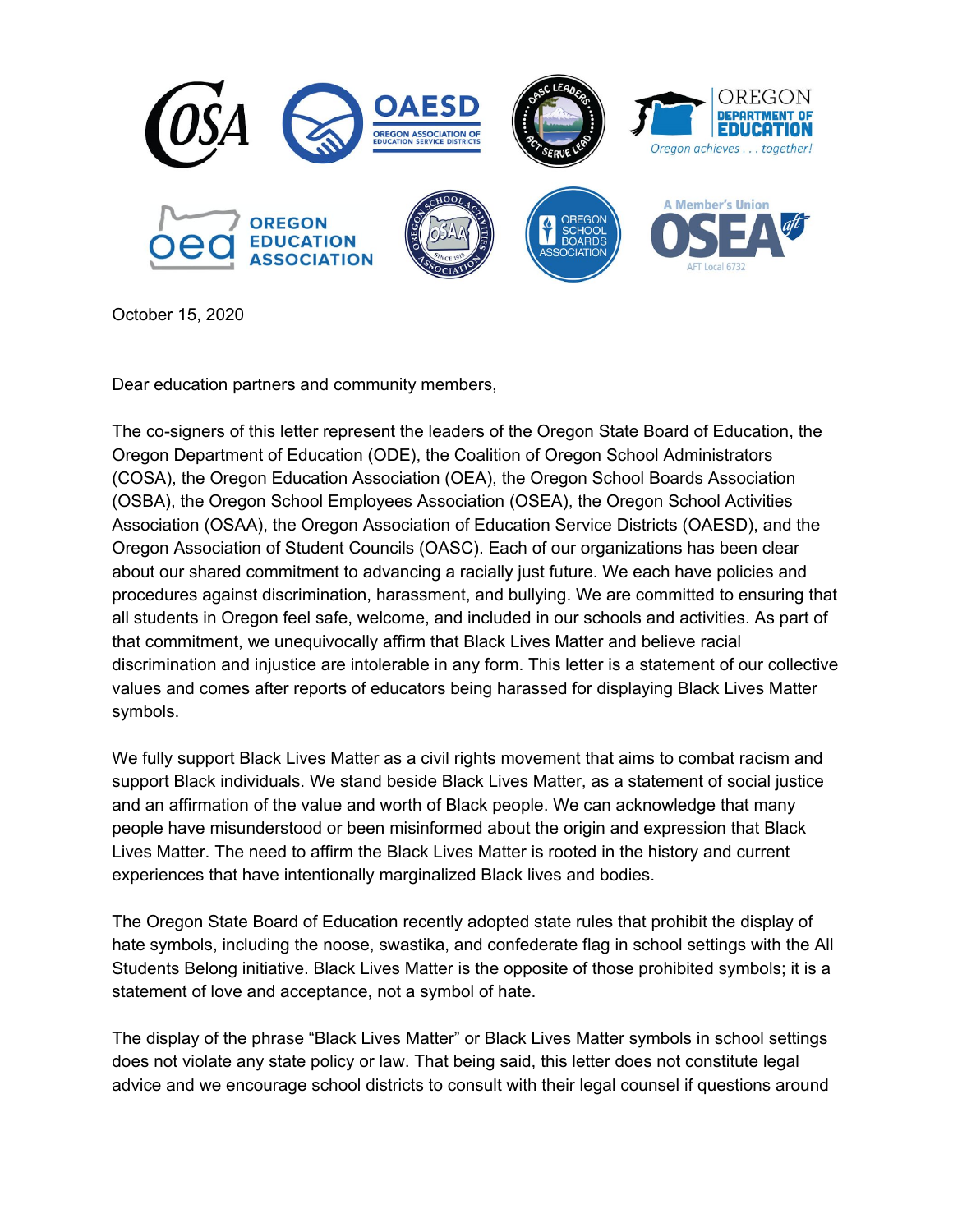

October 15, 2020

Dear education partners and community members,

The co-signers of this letter represent the leaders of the Oregon State Board of Education, the Oregon Department of Education (ODE), the Coalition of Oregon School Administrators (COSA), the Oregon Education Association (OEA), the Oregon School Boards Association (OSBA), the Oregon School Employees Association (OSEA), the Oregon School Activities Association (OSAA), the Oregon Association of Education Service Districts (OAESD), and the Oregon Association of Student Councils (OASC). Each of our organizations has been clear about our shared commitment to advancing a racially just future. We each have policies and procedures against discrimination, harassment, and bullying. We are committed to ensuring that all students in Oregon feel safe, welcome, and included in our schools and activities. As part of that commitment, we unequivocally affirm that Black Lives Matter and believe racial discrimination and injustice are intolerable in any form. This letter is a statement of our collective values and comes after reports of educators being harassed for displaying Black Lives Matter symbols.

We fully support Black Lives Matter as a civil rights movement that aims to combat racism and support Black individuals. We stand beside Black Lives Matter, as a statement of social justice and an affirmation of the value and worth of Black people. We can acknowledge that many people have misunderstood or been misinformed about the origin and expression that Black Lives Matter. The need to affirm the Black Lives Matter is rooted in the history and current experiences that have intentionally marginalized Black lives and bodies.

The Oregon State Board of Education recently adopted state rules that prohibit the display of hate symbols, including the noose, swastika, and confederate flag in school settings with the All Students Belong initiative. Black Lives Matter is the opposite of those prohibited symbols; it is a statement of love and acceptance, not a symbol of hate.

The display of the phrase "Black Lives Matter" or Black Lives Matter symbols in school settings does not violate any state policy or law. That being said, this letter does not constitute legal advice and we encourage school districts to consult with their legal counsel if questions around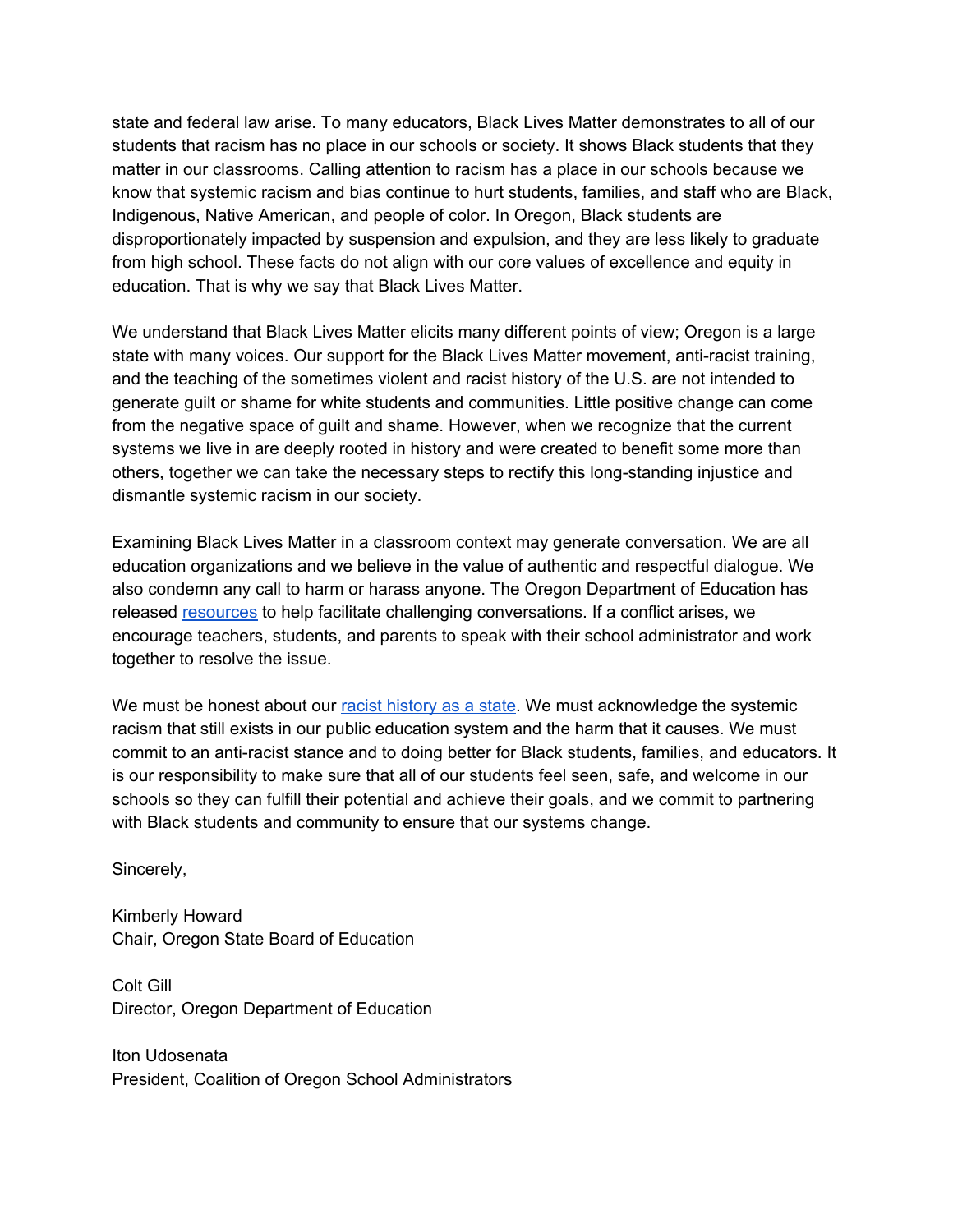state and federal law arise. To many educators, Black Lives Matter demonstrates to all of our students that racism has no place in our schools or society. It shows Black students that they matter in our classrooms. Calling attention to racism has a place in our schools because we know that systemic racism and bias continue to hurt students, families, and staff who are Black, Indigenous, Native American, and people of color. In Oregon, Black students are disproportionately impacted by suspension and expulsion, and they are less likely to graduate from high school. These facts do not align with our core values of excellence and equity in education. That is why we say that Black Lives Matter.

We understand that Black Lives Matter elicits many different points of view; Oregon is a large state with many voices. Our support for the Black Lives Matter movement, anti-racist training, and the teaching of the sometimes violent and racist history of the U.S. are not intended to generate guilt or shame for white students and communities. Little positive change can come from the negative space of guilt and shame. However, when we recognize that the current systems we live in are deeply rooted in history and were created to benefit some more than others, together we can take the necessary steps to rectify this long-standing injustice and dismantle systemic racism in our society.

Examining Black Lives Matter in a classroom context may generate conversation. We are all education organizations and we believe in the value of authentic and respectful dialogue. We also condemn any call to harm or harass anyone. The Oregon Department of Education has released [resources](https://www.oregon.gov/ode/students-and-family/equity/SchoolSafety/Pages/AllStudentsBelong.aspx) to help facilitate challenging conversations. If a conflict arises, we encourage teachers, students, and parents to speak with their school administrator and work together to resolve the issue.

We must be honest about our racist [history](https://www.opb.org/news/article/oregon-white-history-racist-foundations-black-exclusion-laws/) as a state. We must acknowledge the systemic racism that still exists in our public education system and the harm that it causes. We must commit to an anti-racist stance and to doing better for Black students, families, and educators. It is our responsibility to make sure that all of our students feel seen, safe, and welcome in our schools so they can fulfill their potential and achieve their goals, and we commit to partnering with Black students and community to ensure that our systems change.

Sincerely,

Kimberly Howard Chair, Oregon State Board of Education

Colt Gill Director, Oregon Department of Education

Iton Udosenata President, Coalition of Oregon School Administrators